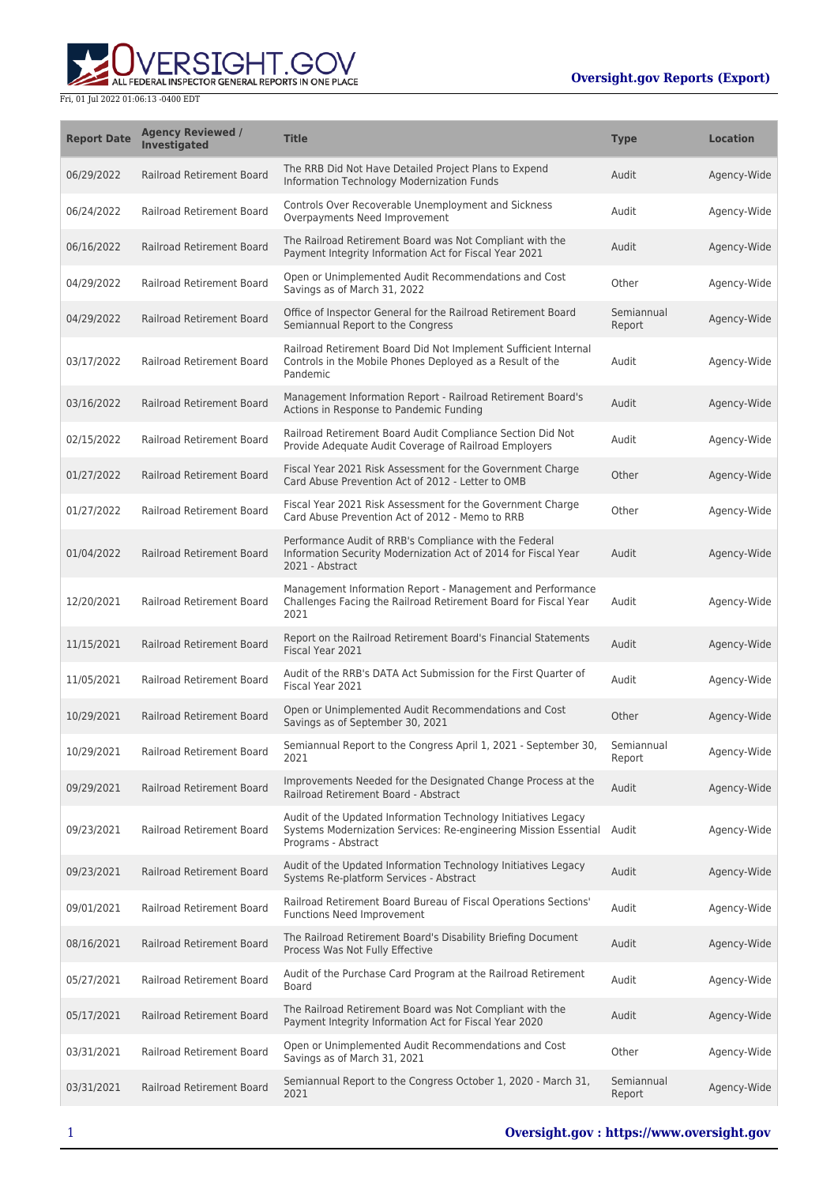## RSIGHT.GOV ALL FEDERAL INSPECTOR GENERAL REPORTS IN ONE PLACE

| <b>Report Date</b> | <b>Agency Reviewed /</b><br>Investigated | <b>Title</b>                                                                                                                                                    | <b>Type</b>          | <b>Location</b> |
|--------------------|------------------------------------------|-----------------------------------------------------------------------------------------------------------------------------------------------------------------|----------------------|-----------------|
| 06/29/2022         | Railroad Retirement Board                | The RRB Did Not Have Detailed Project Plans to Expend<br>Information Technology Modernization Funds                                                             | Audit                | Agency-Wide     |
| 06/24/2022         | Railroad Retirement Board                | Controls Over Recoverable Unemployment and Sickness<br>Overpayments Need Improvement                                                                            | Audit                | Agency-Wide     |
| 06/16/2022         | Railroad Retirement Board                | The Railroad Retirement Board was Not Compliant with the<br>Payment Integrity Information Act for Fiscal Year 2021                                              | Audit                | Agency-Wide     |
| 04/29/2022         | <b>Railroad Retirement Board</b>         | Open or Unimplemented Audit Recommendations and Cost<br>Savings as of March 31, 2022                                                                            | Other                | Agency-Wide     |
| 04/29/2022         | Railroad Retirement Board                | Office of Inspector General for the Railroad Retirement Board<br>Semiannual Report to the Congress                                                              | Semiannual<br>Report | Agency-Wide     |
| 03/17/2022         | Railroad Retirement Board                | Railroad Retirement Board Did Not Implement Sufficient Internal<br>Controls in the Mobile Phones Deployed as a Result of the<br>Pandemic                        | Audit                | Agency-Wide     |
| 03/16/2022         | Railroad Retirement Board                | Management Information Report - Railroad Retirement Board's<br>Actions in Response to Pandemic Funding                                                          | Audit                | Agency-Wide     |
| 02/15/2022         | <b>Railroad Retirement Board</b>         | Railroad Retirement Board Audit Compliance Section Did Not<br>Provide Adequate Audit Coverage of Railroad Employers                                             | Audit                | Agency-Wide     |
| 01/27/2022         | <b>Railroad Retirement Board</b>         | Fiscal Year 2021 Risk Assessment for the Government Charge<br>Card Abuse Prevention Act of 2012 - Letter to OMB                                                 | Other                | Agency-Wide     |
| 01/27/2022         | Railroad Retirement Board                | Fiscal Year 2021 Risk Assessment for the Government Charge<br>Card Abuse Prevention Act of 2012 - Memo to RRB                                                   | Other                | Agency-Wide     |
| 01/04/2022         | Railroad Retirement Board                | Performance Audit of RRB's Compliance with the Federal<br>Information Security Modernization Act of 2014 for Fiscal Year<br>2021 - Abstract                     | Audit                | Agency-Wide     |
| 12/20/2021         | Railroad Retirement Board                | Management Information Report - Management and Performance<br>Challenges Facing the Railroad Retirement Board for Fiscal Year<br>2021                           | Audit                | Agency-Wide     |
| 11/15/2021         | Railroad Retirement Board                | Report on the Railroad Retirement Board's Financial Statements<br>Fiscal Year 2021                                                                              | Audit                | Agency-Wide     |
| 11/05/2021         | Railroad Retirement Board                | Audit of the RRB's DATA Act Submission for the First Quarter of<br>Fiscal Year 2021                                                                             | Audit                | Agency-Wide     |
| 10/29/2021         | Railroad Retirement Board                | Open or Unimplemented Audit Recommendations and Cost<br>Savings as of September 30, 2021                                                                        | Other                | Agency-Wide     |
| 10/29/2021         | Railroad Retirement Board                | Semiannual Report to the Congress April 1, 2021 - September 30,<br>2021                                                                                         | Semiannual<br>Report | Agency-Wide     |
| 09/29/2021         | Railroad Retirement Board                | Improvements Needed for the Designated Change Process at the<br>Railroad Retirement Board - Abstract                                                            | Audit                | Agency-Wide     |
| 09/23/2021         | Railroad Retirement Board                | Audit of the Updated Information Technology Initiatives Legacy<br>Systems Modernization Services: Re-engineering Mission Essential Audit<br>Programs - Abstract |                      | Agency-Wide     |
| 09/23/2021         | Railroad Retirement Board                | Audit of the Updated Information Technology Initiatives Legacy<br>Systems Re-platform Services - Abstract                                                       | Audit                | Agency-Wide     |
| 09/01/2021         | Railroad Retirement Board                | Railroad Retirement Board Bureau of Fiscal Operations Sections'<br><b>Functions Need Improvement</b>                                                            | Audit                | Agency-Wide     |
| 08/16/2021         | Railroad Retirement Board                | The Railroad Retirement Board's Disability Briefing Document<br>Process Was Not Fully Effective                                                                 | Audit                | Agency-Wide     |
| 05/27/2021         | Railroad Retirement Board                | Audit of the Purchase Card Program at the Railroad Retirement<br>Board                                                                                          | Audit                | Agency-Wide     |
| 05/17/2021         | Railroad Retirement Board                | The Railroad Retirement Board was Not Compliant with the<br>Payment Integrity Information Act for Fiscal Year 2020                                              | Audit                | Agency-Wide     |
| 03/31/2021         | Railroad Retirement Board                | Open or Unimplemented Audit Recommendations and Cost<br>Savings as of March 31, 2021                                                                            | Other                | Agency-Wide     |
| 03/31/2021         | Railroad Retirement Board                | Semiannual Report to the Congress October 1, 2020 - March 31,<br>2021                                                                                           | Semiannual<br>Report | Agency-Wide     |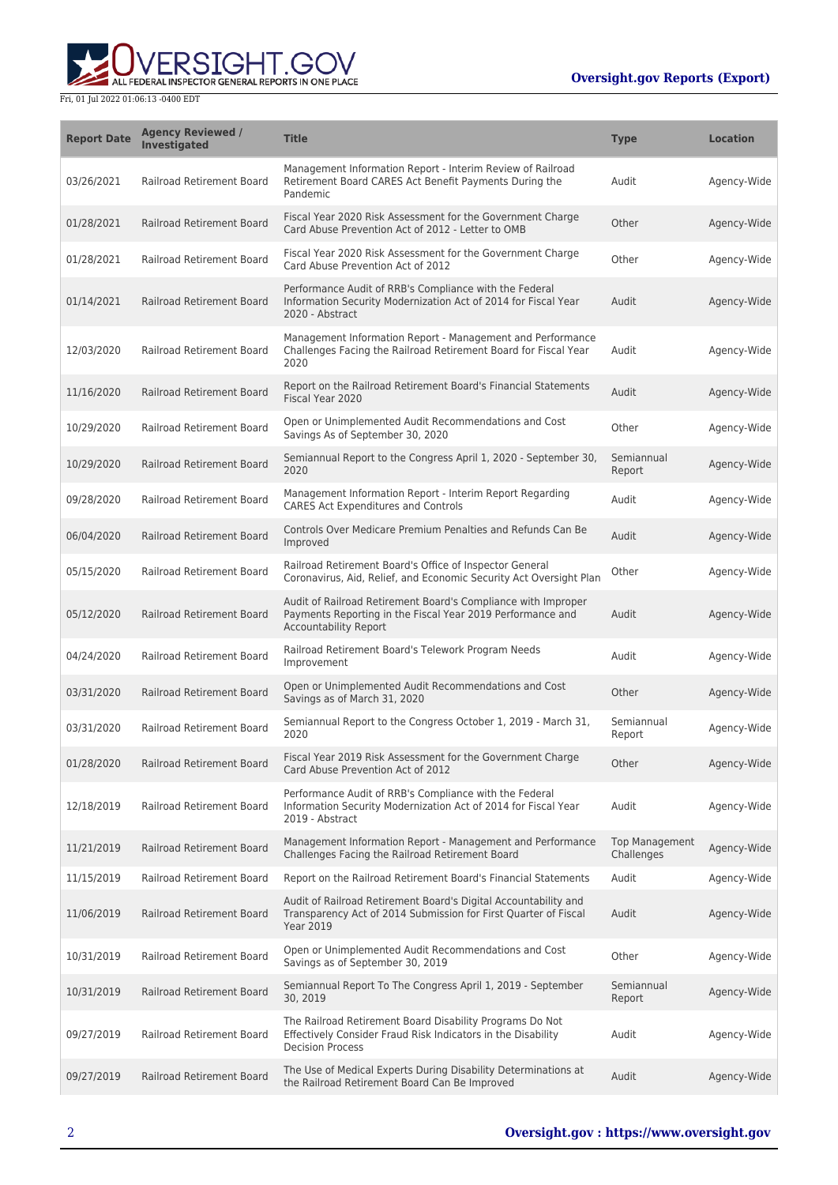## **Oversight.gov Reports (Export)**



| <b>Report Date</b> | <b>Agency Reviewed /</b><br>Investigated | <b>Title</b>                                                                                                                                                | <b>Type</b>                         | <b>Location</b> |
|--------------------|------------------------------------------|-------------------------------------------------------------------------------------------------------------------------------------------------------------|-------------------------------------|-----------------|
| 03/26/2021         | Railroad Retirement Board                | Management Information Report - Interim Review of Railroad<br>Retirement Board CARES Act Benefit Payments During the<br>Pandemic                            | Audit                               | Agency-Wide     |
| 01/28/2021         | Railroad Retirement Board                | Fiscal Year 2020 Risk Assessment for the Government Charge<br>Card Abuse Prevention Act of 2012 - Letter to OMB                                             | Other                               | Agency-Wide     |
| 01/28/2021         | Railroad Retirement Board                | Fiscal Year 2020 Risk Assessment for the Government Charge<br>Card Abuse Prevention Act of 2012                                                             | Other                               | Agency-Wide     |
| 01/14/2021         | <b>Railroad Retirement Board</b>         | Performance Audit of RRB's Compliance with the Federal<br>Information Security Modernization Act of 2014 for Fiscal Year<br>2020 - Abstract                 | Audit                               | Agency-Wide     |
| 12/03/2020         | Railroad Retirement Board                | Management Information Report - Management and Performance<br>Challenges Facing the Railroad Retirement Board for Fiscal Year<br>2020                       | Audit                               | Agency-Wide     |
| 11/16/2020         | Railroad Retirement Board                | Report on the Railroad Retirement Board's Financial Statements<br>Fiscal Year 2020                                                                          | Audit                               | Agency-Wide     |
| 10/29/2020         | <b>Railroad Retirement Board</b>         | Open or Unimplemented Audit Recommendations and Cost<br>Savings As of September 30, 2020                                                                    | Other                               | Agency-Wide     |
| 10/29/2020         | <b>Railroad Retirement Board</b>         | Semiannual Report to the Congress April 1, 2020 - September 30,<br>2020                                                                                     | Semiannual<br>Report                | Agency-Wide     |
| 09/28/2020         | <b>Railroad Retirement Board</b>         | Management Information Report - Interim Report Regarding<br><b>CARES Act Expenditures and Controls</b>                                                      | Audit                               | Agency-Wide     |
| 06/04/2020         | Railroad Retirement Board                | Controls Over Medicare Premium Penalties and Refunds Can Be<br>Improved                                                                                     | Audit                               | Agency-Wide     |
| 05/15/2020         | Railroad Retirement Board                | Railroad Retirement Board's Office of Inspector General<br>Coronavirus, Aid, Relief, and Economic Security Act Oversight Plan                               | Other                               | Agency-Wide     |
| 05/12/2020         | Railroad Retirement Board                | Audit of Railroad Retirement Board's Compliance with Improper<br>Payments Reporting in the Fiscal Year 2019 Performance and<br><b>Accountability Report</b> | Audit                               | Agency-Wide     |
| 04/24/2020         | Railroad Retirement Board                | Railroad Retirement Board's Telework Program Needs<br>Improvement                                                                                           | Audit                               | Agency-Wide     |
| 03/31/2020         | Railroad Retirement Board                | Open or Unimplemented Audit Recommendations and Cost<br>Savings as of March 31, 2020                                                                        | Other                               | Agency-Wide     |
| 03/31/2020         | Railroad Retirement Board                | Semiannual Report to the Congress October 1, 2019 - March 31,<br>2020                                                                                       | Semiannual<br>Report                | Agency-Wide     |
| 01/28/2020         | Railroad Retirement Board                | Fiscal Year 2019 Risk Assessment for the Government Charge<br>Card Abuse Prevention Act of 2012                                                             | Other                               | Agency-Wide     |
| 12/18/2019         | <b>Railroad Retirement Board</b>         | Performance Audit of RRB's Compliance with the Federal<br>Information Security Modernization Act of 2014 for Fiscal Year<br>2019 - Abstract                 | Audit                               | Agency-Wide     |
| 11/21/2019         | Railroad Retirement Board                | Management Information Report - Management and Performance<br>Challenges Facing the Railroad Retirement Board                                               | <b>Top Management</b><br>Challenges | Agency-Wide     |
| 11/15/2019         | Railroad Retirement Board                | Report on the Railroad Retirement Board's Financial Statements                                                                                              | Audit                               | Agency-Wide     |
| 11/06/2019         | Railroad Retirement Board                | Audit of Railroad Retirement Board's Digital Accountability and<br>Transparency Act of 2014 Submission for First Quarter of Fiscal<br><b>Year 2019</b>      | Audit                               | Agency-Wide     |
| 10/31/2019         | Railroad Retirement Board                | Open or Unimplemented Audit Recommendations and Cost<br>Savings as of September 30, 2019                                                                    | Other                               | Agency-Wide     |
| 10/31/2019         | Railroad Retirement Board                | Semiannual Report To The Congress April 1, 2019 - September<br>30, 2019                                                                                     | Semiannual<br>Report                | Agency-Wide     |
| 09/27/2019         | Railroad Retirement Board                | The Railroad Retirement Board Disability Programs Do Not<br>Effectively Consider Fraud Risk Indicators in the Disability<br><b>Decision Process</b>         | Audit                               | Agency-Wide     |
| 09/27/2019         | Railroad Retirement Board                | The Use of Medical Experts During Disability Determinations at<br>the Railroad Retirement Board Can Be Improved                                             | Audit                               | Agency-Wide     |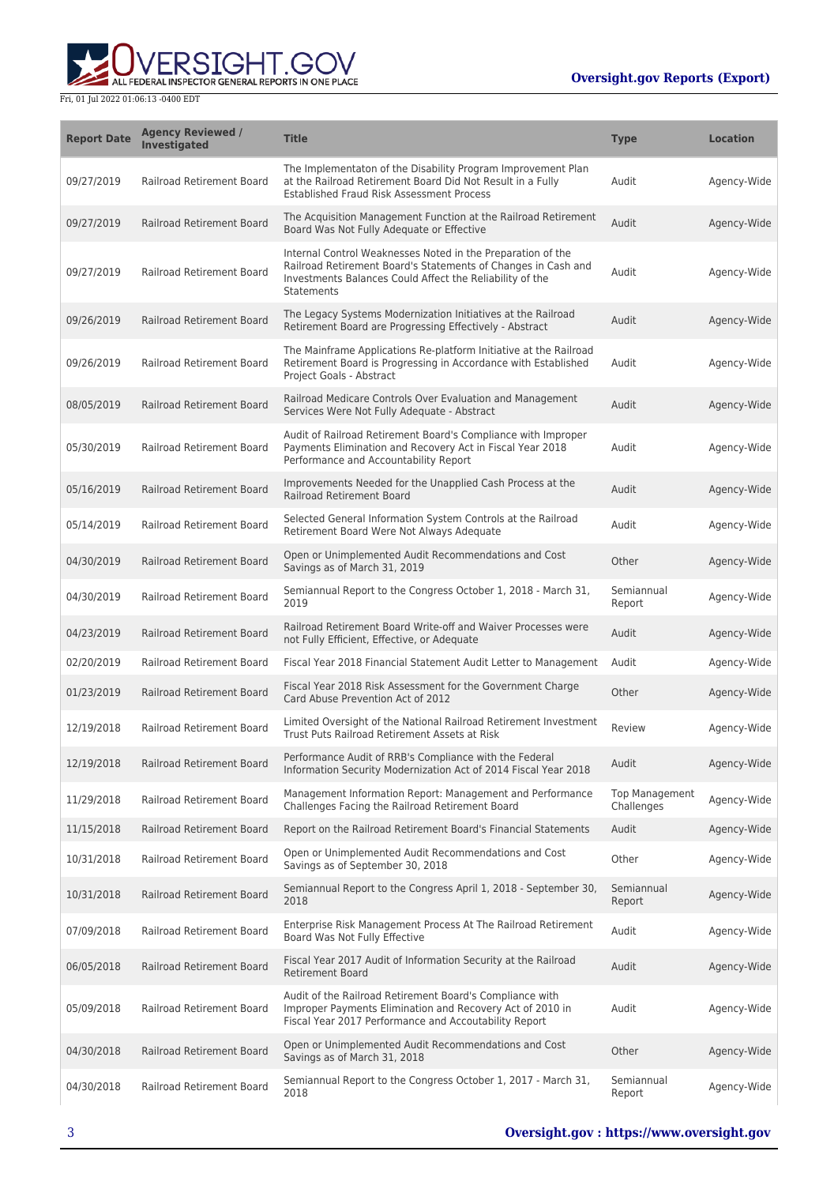

| <b>Report Date</b> | <b>Agency Reviewed /</b><br>Investigated | <b>Title</b>                                                                                                                                                                                                  | <b>Type</b>                         | <b>Location</b> |
|--------------------|------------------------------------------|---------------------------------------------------------------------------------------------------------------------------------------------------------------------------------------------------------------|-------------------------------------|-----------------|
| 09/27/2019         | Railroad Retirement Board                | The Implementaton of the Disability Program Improvement Plan<br>at the Railroad Retirement Board Did Not Result in a Fully<br>Established Fraud Risk Assessment Process                                       | Audit                               | Agency-Wide     |
| 09/27/2019         | Railroad Retirement Board                | The Acquisition Management Function at the Railroad Retirement<br>Board Was Not Fully Adequate or Effective                                                                                                   | Audit                               | Agency-Wide     |
| 09/27/2019         | Railroad Retirement Board                | Internal Control Weaknesses Noted in the Preparation of the<br>Railroad Retirement Board's Statements of Changes in Cash and<br>Investments Balances Could Affect the Reliability of the<br><b>Statements</b> | Audit                               | Agency-Wide     |
| 09/26/2019         | <b>Railroad Retirement Board</b>         | The Legacy Systems Modernization Initiatives at the Railroad<br>Retirement Board are Progressing Effectively - Abstract                                                                                       | Audit                               | Agency-Wide     |
| 09/26/2019         | Railroad Retirement Board                | The Mainframe Applications Re-platform Initiative at the Railroad<br>Retirement Board is Progressing in Accordance with Established<br>Project Goals - Abstract                                               | Audit                               | Agency-Wide     |
| 08/05/2019         | Railroad Retirement Board                | Railroad Medicare Controls Over Evaluation and Management<br>Services Were Not Fully Adequate - Abstract                                                                                                      | Audit                               | Agency-Wide     |
| 05/30/2019         | Railroad Retirement Board                | Audit of Railroad Retirement Board's Compliance with Improper<br>Payments Elimination and Recovery Act in Fiscal Year 2018<br>Performance and Accountability Report                                           | Audit                               | Agency-Wide     |
| 05/16/2019         | Railroad Retirement Board                | Improvements Needed for the Unapplied Cash Process at the<br><b>Railroad Retirement Board</b>                                                                                                                 | Audit                               | Agency-Wide     |
| 05/14/2019         | <b>Railroad Retirement Board</b>         | Selected General Information System Controls at the Railroad<br>Retirement Board Were Not Always Adequate                                                                                                     | Audit                               | Agency-Wide     |
| 04/30/2019         | Railroad Retirement Board                | Open or Unimplemented Audit Recommendations and Cost<br>Savings as of March 31, 2019                                                                                                                          | Other                               | Agency-Wide     |
| 04/30/2019         | Railroad Retirement Board                | Semiannual Report to the Congress October 1, 2018 - March 31,<br>2019                                                                                                                                         | Semiannual<br>Report                | Agency-Wide     |
| 04/23/2019         | Railroad Retirement Board                | Railroad Retirement Board Write-off and Waiver Processes were<br>not Fully Efficient, Effective, or Adequate                                                                                                  | Audit                               | Agency-Wide     |
| 02/20/2019         | Railroad Retirement Board                | Fiscal Year 2018 Financial Statement Audit Letter to Management                                                                                                                                               | Audit                               | Agency-Wide     |
| 01/23/2019         | Railroad Retirement Board                | Fiscal Year 2018 Risk Assessment for the Government Charge<br>Card Abuse Prevention Act of 2012                                                                                                               | Other                               | Agency-Wide     |
| 12/19/2018         | Railroad Retirement Board                | Limited Oversight of the National Railroad Retirement Investment<br>Trust Puts Railroad Retirement Assets at Risk                                                                                             | Review                              | Agency-Wide     |
| 12/19/2018         | Railroad Retirement Board                | Performance Audit of RRB's Compliance with the Federal<br>Information Security Modernization Act of 2014 Fiscal Year 2018                                                                                     | Audit                               | Agency-Wide     |
| 11/29/2018         | Railroad Retirement Board                | Management Information Report: Management and Performance<br>Challenges Facing the Railroad Retirement Board                                                                                                  | <b>Top Management</b><br>Challenges | Agency-Wide     |
| 11/15/2018         | Railroad Retirement Board                | Report on the Railroad Retirement Board's Financial Statements                                                                                                                                                | Audit                               | Agency-Wide     |
| 10/31/2018         | Railroad Retirement Board                | Open or Unimplemented Audit Recommendations and Cost<br>Savings as of September 30, 2018                                                                                                                      | Other                               | Agency-Wide     |
| 10/31/2018         | Railroad Retirement Board                | Semiannual Report to the Congress April 1, 2018 - September 30,<br>2018                                                                                                                                       | Semiannual<br>Report                | Agency-Wide     |
| 07/09/2018         | Railroad Retirement Board                | Enterprise Risk Management Process At The Railroad Retirement<br>Board Was Not Fully Effective                                                                                                                | Audit                               | Agency-Wide     |
| 06/05/2018         | Railroad Retirement Board                | Fiscal Year 2017 Audit of Information Security at the Railroad<br><b>Retirement Board</b>                                                                                                                     | Audit                               | Agency-Wide     |
| 05/09/2018         | Railroad Retirement Board                | Audit of the Railroad Retirement Board's Compliance with<br>Improper Payments Elimination and Recovery Act of 2010 in<br>Fiscal Year 2017 Performance and Accoutability Report                                | Audit                               | Agency-Wide     |
| 04/30/2018         | Railroad Retirement Board                | Open or Unimplemented Audit Recommendations and Cost<br>Savings as of March 31, 2018                                                                                                                          | Other                               | Agency-Wide     |
| 04/30/2018         | Railroad Retirement Board                | Semiannual Report to the Congress October 1, 2017 - March 31,<br>2018                                                                                                                                         | Semiannual<br>Report                | Agency-Wide     |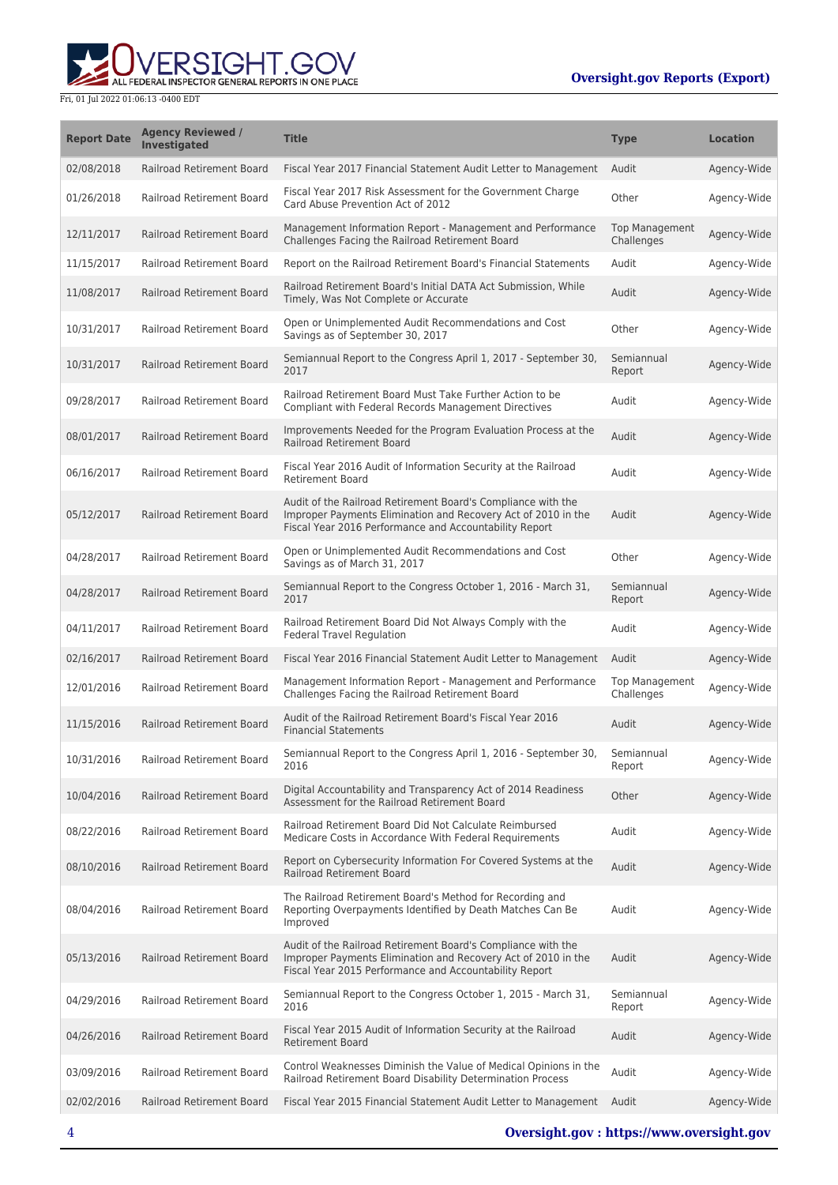## **WERSIGHT.GOV**

| <b>Report Date</b> | <b>Agency Reviewed /</b><br><b>Investigated</b> | <b>Title</b>                                                                                                                                                                            | <b>Type</b>                         | <b>Location</b> |
|--------------------|-------------------------------------------------|-----------------------------------------------------------------------------------------------------------------------------------------------------------------------------------------|-------------------------------------|-----------------|
| 02/08/2018         | Railroad Retirement Board                       | Fiscal Year 2017 Financial Statement Audit Letter to Management                                                                                                                         | Audit                               | Agency-Wide     |
| 01/26/2018         | Railroad Retirement Board                       | Fiscal Year 2017 Risk Assessment for the Government Charge<br>Card Abuse Prevention Act of 2012                                                                                         | Other                               | Agency-Wide     |
| 12/11/2017         | Railroad Retirement Board                       | Management Information Report - Management and Performance<br>Challenges Facing the Railroad Retirement Board                                                                           | <b>Top Management</b><br>Challenges | Agency-Wide     |
| 11/15/2017         | Railroad Retirement Board                       | Report on the Railroad Retirement Board's Financial Statements                                                                                                                          | Audit                               | Agency-Wide     |
| 11/08/2017         | Railroad Retirement Board                       | Railroad Retirement Board's Initial DATA Act Submission, While<br>Timely, Was Not Complete or Accurate                                                                                  | Audit                               | Agency-Wide     |
| 10/31/2017         | Railroad Retirement Board                       | Open or Unimplemented Audit Recommendations and Cost<br>Savings as of September 30, 2017                                                                                                | Other                               | Agency-Wide     |
| 10/31/2017         | Railroad Retirement Board                       | Semiannual Report to the Congress April 1, 2017 - September 30,<br>2017                                                                                                                 | Semiannual<br>Report                | Agency-Wide     |
| 09/28/2017         | Railroad Retirement Board                       | Railroad Retirement Board Must Take Further Action to be<br>Compliant with Federal Records Management Directives                                                                        | Audit                               | Agency-Wide     |
| 08/01/2017         | Railroad Retirement Board                       | Improvements Needed for the Program Evaluation Process at the<br><b>Railroad Retirement Board</b>                                                                                       | Audit                               | Agency-Wide     |
| 06/16/2017         | Railroad Retirement Board                       | Fiscal Year 2016 Audit of Information Security at the Railroad<br><b>Retirement Board</b>                                                                                               | Audit                               | Agency-Wide     |
| 05/12/2017         | Railroad Retirement Board                       | Audit of the Railroad Retirement Board's Compliance with the<br>Improper Payments Elimination and Recovery Act of 2010 in the<br>Fiscal Year 2016 Performance and Accountability Report | Audit                               | Agency-Wide     |
| 04/28/2017         | Railroad Retirement Board                       | Open or Unimplemented Audit Recommendations and Cost<br>Savings as of March 31, 2017                                                                                                    | Other                               | Agency-Wide     |
| 04/28/2017         | Railroad Retirement Board                       | Semiannual Report to the Congress October 1, 2016 - March 31,<br>2017                                                                                                                   | Semiannual<br>Report                | Agency-Wide     |
| 04/11/2017         | Railroad Retirement Board                       | Railroad Retirement Board Did Not Always Comply with the<br><b>Federal Travel Regulation</b>                                                                                            | Audit                               | Agency-Wide     |
| 02/16/2017         | Railroad Retirement Board                       | Fiscal Year 2016 Financial Statement Audit Letter to Management                                                                                                                         | Audit                               | Agency-Wide     |
| 12/01/2016         | Railroad Retirement Board                       | Management Information Report - Management and Performance<br>Challenges Facing the Railroad Retirement Board                                                                           | <b>Top Management</b><br>Challenges | Agency-Wide     |
| 11/15/2016         | <b>Railroad Retirement Board</b>                | Audit of the Railroad Retirement Board's Fiscal Year 2016<br><b>Financial Statements</b>                                                                                                | Audit                               | Agency-Wide     |
| 10/31/2016         | Railroad Retirement Board                       | Semiannual Report to the Congress April 1, 2016 - September 30<br>2016                                                                                                                  | Semiannual<br>Report                | Agency-Wide     |
| 10/04/2016         | Railroad Retirement Board                       | Digital Accountability and Transparency Act of 2014 Readiness<br>Assessment for the Railroad Retirement Board                                                                           | Other                               | Agency-Wide     |
| 08/22/2016         | Railroad Retirement Board                       | Railroad Retirement Board Did Not Calculate Reimbursed<br>Medicare Costs in Accordance With Federal Requirements                                                                        | Audit                               | Agency-Wide     |
| 08/10/2016         | Railroad Retirement Board                       | Report on Cybersecurity Information For Covered Systems at the<br><b>Railroad Retirement Board</b>                                                                                      | Audit                               | Agency-Wide     |
| 08/04/2016         | <b>Railroad Retirement Board</b>                | The Railroad Retirement Board's Method for Recording and<br>Reporting Overpayments Identified by Death Matches Can Be<br>Improved                                                       | Audit                               | Agency-Wide     |
| 05/13/2016         | Railroad Retirement Board                       | Audit of the Railroad Retirement Board's Compliance with the<br>Improper Payments Elimination and Recovery Act of 2010 in the<br>Fiscal Year 2015 Performance and Accountability Report | Audit                               | Agency-Wide     |
| 04/29/2016         | Railroad Retirement Board                       | Semiannual Report to the Congress October 1, 2015 - March 31,<br>2016                                                                                                                   | Semiannual<br>Report                | Agency-Wide     |
| 04/26/2016         | Railroad Retirement Board                       | Fiscal Year 2015 Audit of Information Security at the Railroad<br><b>Retirement Board</b>                                                                                               | Audit                               | Agency-Wide     |
| 03/09/2016         | Railroad Retirement Board                       | Control Weaknesses Diminish the Value of Medical Opinions in the<br>Railroad Retirement Board Disability Determination Process                                                          | Audit                               | Agency-Wide     |
| 02/02/2016         | Railroad Retirement Board                       | Fiscal Year 2015 Financial Statement Audit Letter to Management                                                                                                                         | Audit                               | Agency-Wide     |